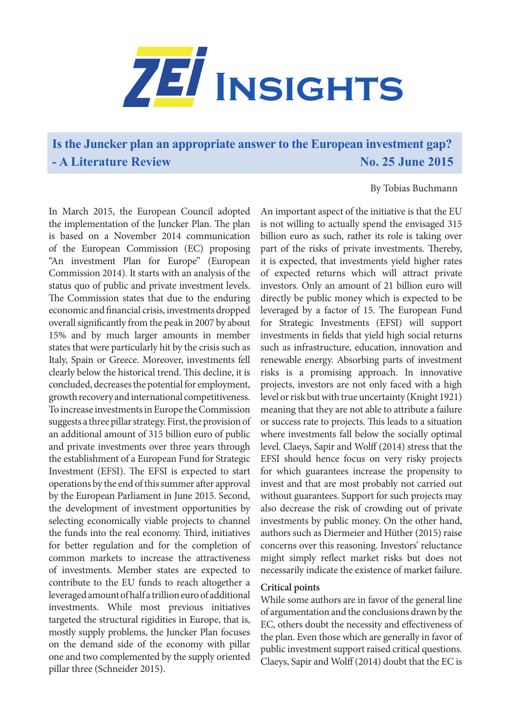

**Is the Juncker plan an appropriate answer to the European investment gap? - A Literature Review No. 25 June 2015** 

## By Tobias Buchmann

In March 2015, the European Council adopted the implementation of the Juncker Plan. The plan is based on a November 2014 communication of the European Commission (EC) proposing "An investment Plan for Europe" (European Commission 2014). It starts with an analysis of the status quo of public and private investment levels. The Commission states that due to the enduring economic and financial crisis, investments dropped overall significantly from the peak in 2007 by about 15% and by much larger amounts in member states that were particularly hit by the crisis such as Italy, Spain or Greece. Moreover, investments fell clearly below the historical trend. This decline, it is concluded, decreases the potential for employment, growth recovery and international competitiveness. To increase investments in Europe the Commission suggests a three pillar strategy. First, the provision of an additional amount of 315 billion euro of public and private investments over three years through the establishment of a European Fund for Strategic Investment (EFSI). The EFSI is expected to start operations by the end of this summer after approval by the European Parliament in June 2015. Second, the development of investment opportunities by selecting economically viable projects to channel the funds into the real economy. Third, initiatives for better regulation and for the completion of common markets to increase the attractiveness of investments. Member states are expected to contribute to the EU funds to reach altogether a leveraged amount of half a trillion euro of additional investments. While most previous initiatives targeted the structural rigidities in Europe, that is, mostly supply problems, the Juncker Plan focuses on the demand side of the economy with pillar one and two complemented by the supply oriented pillar three (Schneider 2015).

An important aspect of the initiative is that the EU is not willing to actually spend the envisaged 315 billion euro as such, rather its role is taking over part of the risks of private investments. Thereby, it is expected, that investments yield higher rates of expected returns which will attract private investors. Only an amount of 21 billion euro will directly be public money which is expected to be leveraged by a factor of 15. The European Fund for Strategic Investments (EFSI) will support investments in fields that yield high social returns such as infrastructure, education, innovation and renewable energy. Absorbing parts of investment risks is a promising approach. In innovative projects, investors are not only faced with a high level or risk but with true uncertainty (Knight 1921) meaning that they are not able to attribute a failure or success rate to projects. This leads to a situation where investments fall below the socially optimal level. Claeys, Sapir and Wolff (2014) stress that the EFSI should hence focus on very risky projects for which guarantees increase the propensity to invest and that are most probably not carried out without guarantees. Support for such projects may also decrease the risk of crowding out of private investments by public money. On the other hand, authors such as Diermeier and Hüther (2015) raise concerns over this reasoning. Investors' reluctance might simply reflect market risks but does not necessarily indicate the existence of market failure.

## **Critical points**

While some authors are in favor of the general line of argumentation and the conclusions drawn by the EC, others doubt the necessity and effectiveness of the plan. Even those which are generally in favor of public investment support raised critical questions. Claeys, Sapir and Wolff (2014) doubt that the EC is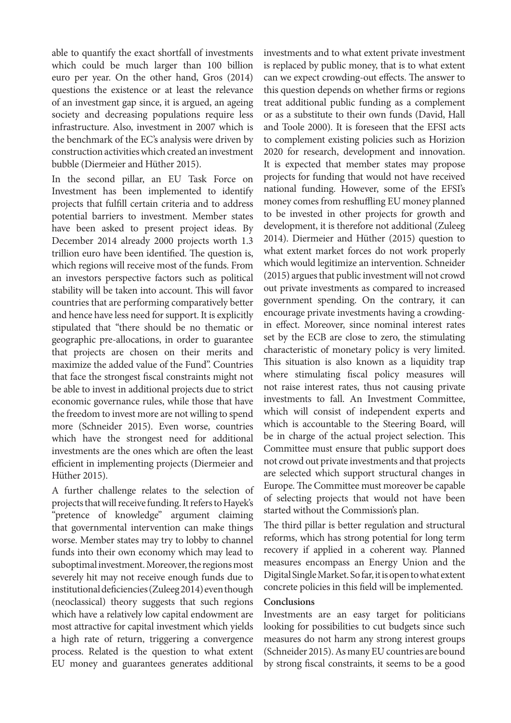able to quantify the exact shortfall of investments which could be much larger than 100 billion euro per year. On the other hand, Gros (2014) questions the existence or at least the relevance of an investment gap since, it is argued, an ageing society and decreasing populations require less infrastructure. Also, investment in 2007 which is the benchmark of the EC's analysis were driven by construction activities which created an investment bubble (Diermeier and Hüther 2015).

In the second pillar, an EU Task Force on Investment has been implemented to identify projects that fulfill certain criteria and to address potential barriers to investment. Member states have been asked to present project ideas. By December 2014 already 2000 projects worth 1.3 trillion euro have been identified. The question is, which regions will receive most of the funds. From an investors perspective factors such as political stability will be taken into account. This will favor countries that are performing comparatively better and hence have less need for support. It is explicitly stipulated that "there should be no thematic or geographic pre-allocations, in order to guarantee that projects are chosen on their merits and maximize the added value of the Fund". Countries that face the strongest fiscal constraints might not be able to invest in additional projects due to strict economic governance rules, while those that have the freedom to invest more are not willing to spend more (Schneider 2015). Even worse, countries which have the strongest need for additional investments are the ones which are often the least efficient in implementing projects (Diermeier and Hüther 2015).

A further challenge relates to the selection of projects that will receive funding. It refers to Hayek's "pretence of knowledge" argument claiming that governmental intervention can make things worse. Member states may try to lobby to channel funds into their own economy which may lead to suboptimal investment. Moreover, the regions most severely hit may not receive enough funds due to institutional deficiencies (Zuleeg 2014) even though (neoclassical) theory suggests that such regions which have a relatively low capital endowment are most attractive for capital investment which yields a high rate of return, triggering a convergence process. Related is the question to what extent EU money and guarantees generates additional

investments and to what extent private investment is replaced by public money, that is to what extent can we expect crowding-out effects. The answer to this question depends on whether firms or regions treat additional public funding as a complement or as a substitute to their own funds (David, Hall and Toole 2000). It is foreseen that the EFSI acts to complement existing policies such as Horizion 2020 for research, development and innovation. It is expected that member states may propose projects for funding that would not have received national funding. However, some of the EFSI's money comes from reshuffling EU money planned to be invested in other projects for growth and development, it is therefore not additional (Zuleeg 2014). Diermeier and Hüther (2015) question to what extent market forces do not work properly which would legitimize an intervention. Schneider (2015) argues that public investment will not crowd out private investments as compared to increased government spending. On the contrary, it can encourage private investments having a crowdingin effect. Moreover, since nominal interest rates set by the ECB are close to zero, the stimulating characteristic of monetary policy is very limited. This situation is also known as a liquidity trap where stimulating fiscal policy measures will not raise interest rates, thus not causing private investments to fall. An Investment Committee, which will consist of independent experts and which is accountable to the Steering Board, will be in charge of the actual project selection. This Committee must ensure that public support does not crowd out private investments and that projects are selected which support structural changes in Europe. The Committee must moreover be capable of selecting projects that would not have been started without the Commission's plan.

The third pillar is better regulation and structural reforms, which has strong potential for long term recovery if applied in a coherent way. Planned measures encompass an Energy Union and the Digital Single Market. So far, it is open to what extent concrete policies in this field will be implemented.

## **Conclusions**

Investments are an easy target for politicians looking for possibilities to cut budgets since such measures do not harm any strong interest groups (Schneider 2015). As many EU countries are bound by strong fiscal constraints, it seems to be a good